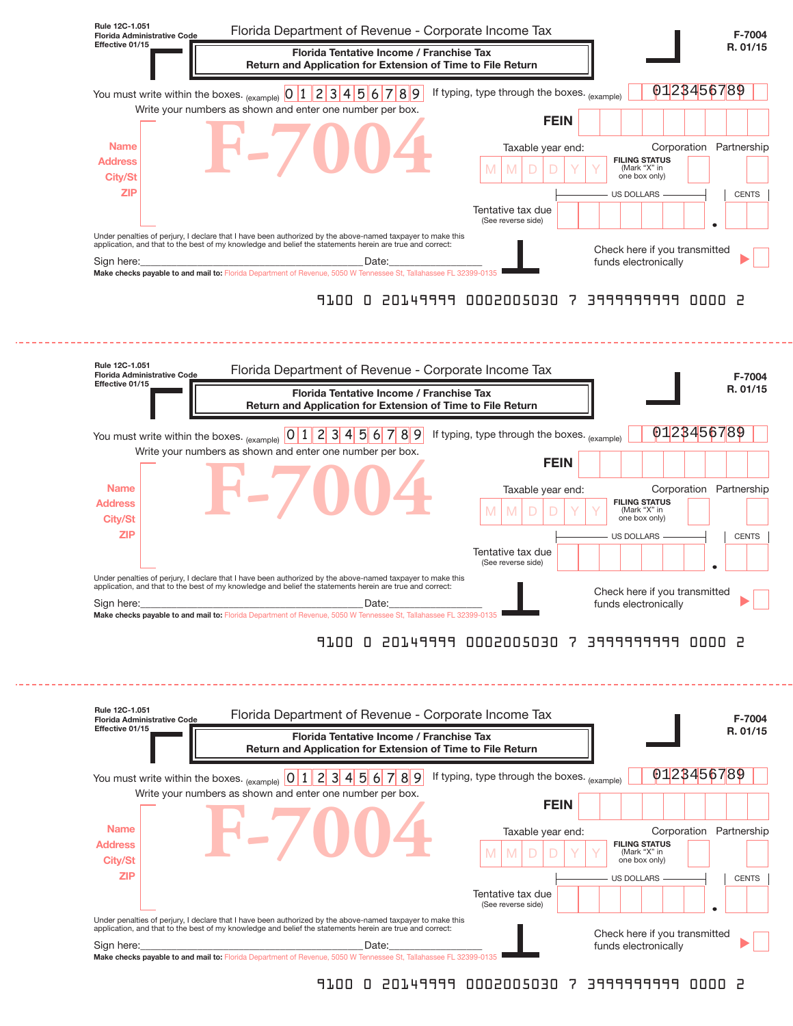

#### 9100 0 20149999 0002005030 7 3999999999 0000 2



### 9100 0 20149999 0002005030 7 3999999999 0000 2